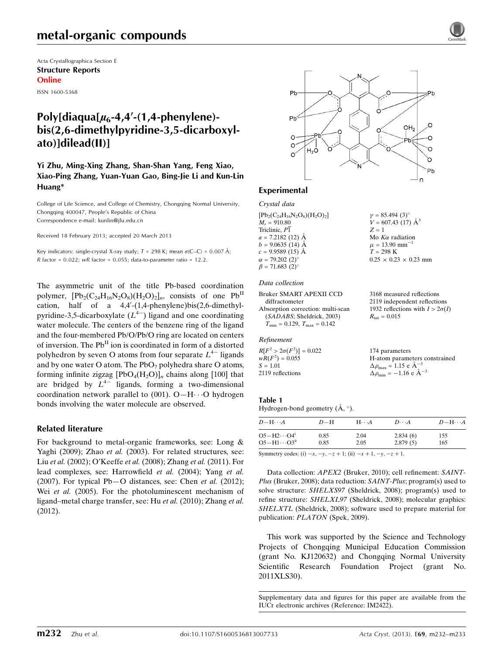Acta Crystallographica Section E Structure Reports Online

ISSN 1600-5368

# Poly[diaqua[ $\mu$ <sub>6</sub>-4,4<sup>'</sup>-(1,4-phenylene)bis(2,6-dimethylpyridine-3,5-dicarboxylato)]dilead(II)]

Yi Zhu, Ming-Xing Zhang, Shan-Shan Yang, Feng Xiao, Xiao-Ping Zhang, Yuan-Yuan Gao, Bing-Jie Li and Kun-Lin Huang\*

College of Life Science, and College of Chemistry, Chongqing Normal University, Chongqing 400047, People's Republic of China Correspondence e-mail: [kunlin@jlu.edu.cn](https://scripts.iucr.org/cgi-bin/cr.cgi?rm=pdfbb&cnor=im2422&bbid=BB16)

Received 18 February 2013; accepted 20 March 2013

Key indicators: single-crystal X-ray study;  $T = 298$  K; mean  $\sigma$ (C–C) = 0.007 Å;  $R$  factor = 0.022;  $wR$  factor = 0.055; data-to-parameter ratio = 12.2.

The asymmetric unit of the title Pb-based coordination polymer,  $[{\rm Pb}_2({\rm C}_{24}{\rm H}_{16}{\rm N}_2{\rm O}_8)({\rm H}_2{\rm O})_2]_n$ , consists of one Pb<sup>II</sup> cation, half of a  $4,4'$ - $(1,4$ -phenylene)bis(2,6-dimethylpyridine-3,5-dicarboxylate  $(L^{4-})$  ligand and one coordinating water molecule. The centers of the benzene ring of the ligand and the four-membered Pb/O/Pb/O ring are located on centers of inversion. The Pb<sup>II</sup> ion is coordinated in form of a distorted polyhedron by seven O atoms from four separate  $L^{4-}$  ligands and by one water O atom. The  $PbO<sub>7</sub>$  polyhedra share O atoms, forming infinite zigzag  $[PbO_4(H_2O)]_n$  chains along [100] that are bridged by  $L^{4-}$  ligands, forming a two-dimensional coordination network parallel to (001).  $O-H \cdot \cdot \cdot O$  hydrogen bonds involving the water molecule are observed.

#### Related literature

For background to metal-organic frameworks, see: Long & Yaghi (2009); Zhao et al. (2003). For related structures, see: Liu et al. (2002); O'Keeffe et al. (2008); Zhang et al. (2011). For lead complexes, see: Harrowfield et al. (2004); Yang et al. (2007). For typical Pb-O distances, see: Chen et al. (2012); Wei et al. (2005). For the photoluminescent mechanism of ligand–metal charge transfer, see: Hu et al. (2010); Zhang et al. (2012).



 $\gamma = 85.494 (3)$ °  $V = 607.43(17)$   $\AA^3$ 

Mo  $K\alpha$  radiation  $\mu = 13.90$  mm<sup>-</sup>

 $0.25 \times 0.23 \times 0.23$  mm

3168 measured reflections 2119 independent reflections 1932 reflections with  $I > 2\sigma(I)$ 

1

 $Z = 1$ 

 $T = 298 \text{ K}$ 

 $R_{\text{int}} = 0.015$ 

#### Experimental

Crystal data  $[Pb_2(C_{24}H_{16}N_2O_8)(H_2O)_2]$  $M_r = 910.80$ Triclinic,  $P\overline{1}$  $a = 7.2182(12)$  Å  $b = 9.0635(14)$  Å  $c = 9.9589(15)$  Å  $\alpha = 79.202(2)^{6}$  $\beta = 71.683$  (2)<sup>c</sup>

#### Data collection

Bruker SMART APEXII CCD diffractometer Absorption correction: multi-scan (SADABS; Sheldrick, 2003)  $T_{\min} = 0.129, T_{\max} = 0.142$ 

#### Refinement

 $R$ [

 $w\bar{F}$ 

 $S =$  $21$ 

| $F^2 > 2\sigma(F^2)$ ] = 0.022 | 174 parameters                                     |
|--------------------------------|----------------------------------------------------|
| $R(F^2) = 0.055$               | H-atom parameters constrained                      |
| - 1.01                         | $\Delta \rho_{\text{max}} = 1.15 \text{ e A}^{-3}$ |
| 19 reflections                 | $\Delta \rho_{\text{min}} = -1.16$ e $\AA^{-3}$    |

#### Table 1

Hydrogen-bond geometry  $(\mathring{A}, \degree)$ .

| $D-H$<br>$H\cdots A$ | $D\cdots A$  | $D - H \cdots A$ |
|----------------------|--------------|------------------|
| 2.04<br>2.05         | 2.834(6)     | 155<br>165       |
|                      | 0.85<br>0.85 | 2.879(5)         |

Symmetry codes: (i)  $-x, -y, -z + 1$ ; (ii)  $-x + 1, -y, -z + 1$ .

Data collection: APEX2 (Bruker, 2010); cell refinement: SAINT-Plus (Bruker, 2008); data reduction: SAINT-Plus; program(s) used to solve structure: SHELXS97 (Sheldrick, 2008); program(s) used to refine structure: SHELXL97 (Sheldrick, 2008); molecular graphics: SHELXTL (Sheldrick, 2008); software used to prepare material for publication: PLATON (Spek, 2009).

This work was supported by the Science and Technology Projects of Chongqing Municipal Education Commission (grant No. KJ120632) and Chongqing Normal University Scientific Research Foundation Project (grant No. 2011XLS30).

Supplementary data and figures for this paper are available from the IUCr electronic archives (Reference: IM2422).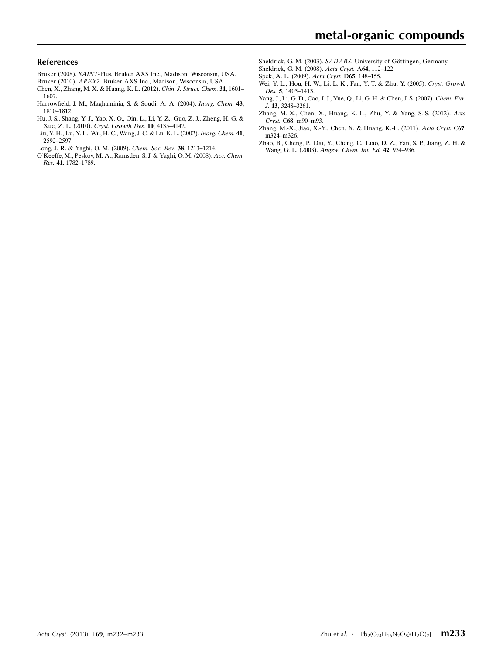#### References

- Bruker (2008). SAINT[-Plus. Bruker AXS Inc., Madison, Wisconsin, USA.](https://scripts.iucr.org/cgi-bin/cr.cgi?rm=pdfbb&cnor=im2422&bbid=BB1)
- Bruker (2010). APEX2[. Bruker AXS Inc., Madison, Wisconsin, USA.](https://scripts.iucr.org/cgi-bin/cr.cgi?rm=pdfbb&cnor=im2422&bbid=BB2)
- [Chen, X., Zhang, M. X. & Huang, K. L. \(2012\).](https://scripts.iucr.org/cgi-bin/cr.cgi?rm=pdfbb&cnor=im2422&bbid=BB3) Chin. J. Struct. Chem. 31, 1601– [1607.](https://scripts.iucr.org/cgi-bin/cr.cgi?rm=pdfbb&cnor=im2422&bbid=BB3)
- [Harrowfield, J. M., Maghaminia, S. & Soudi, A. A. \(2004\).](https://scripts.iucr.org/cgi-bin/cr.cgi?rm=pdfbb&cnor=im2422&bbid=BB4) Inorg. Chem. 43, [1810–1812.](https://scripts.iucr.org/cgi-bin/cr.cgi?rm=pdfbb&cnor=im2422&bbid=BB4)
- [Hu, J. S., Shang, Y. J., Yao, X. Q., Qin, L., Li, Y. Z., Guo, Z. J., Zheng, H. G. &](https://scripts.iucr.org/cgi-bin/cr.cgi?rm=pdfbb&cnor=im2422&bbid=BB5) Xue, Z. L. (2010). [Cryst. Growth Des.](https://scripts.iucr.org/cgi-bin/cr.cgi?rm=pdfbb&cnor=im2422&bbid=BB5) 10, 4135–4142.
- [Liu, Y. H., Lu, Y. L., Wu, H. C., Wang, J. C. & Lu, K. L. \(2002\).](https://scripts.iucr.org/cgi-bin/cr.cgi?rm=pdfbb&cnor=im2422&bbid=BB6) Inorg. Chem. 41, [2592–2597.](https://scripts.iucr.org/cgi-bin/cr.cgi?rm=pdfbb&cnor=im2422&bbid=BB6)
- [Long, J. R. & Yaghi, O. M. \(2009\).](https://scripts.iucr.org/cgi-bin/cr.cgi?rm=pdfbb&cnor=im2422&bbid=BB7) Chem. Soc. Rev. 38, 1213–1214.
- [O'Keeffe, M., Peskov, M. A., Ramsden, S. J. & Yaghi, O. M. \(2008\).](https://scripts.iucr.org/cgi-bin/cr.cgi?rm=pdfbb&cnor=im2422&bbid=BB8) Acc. Chem. Res. 41[, 1782–1789.](https://scripts.iucr.org/cgi-bin/cr.cgi?rm=pdfbb&cnor=im2422&bbid=BB8)
- Sheldrick, G. M. (2003). SADABS. University of Göttingen, Germany.
- [Sheldrick, G. M. \(2008\).](https://scripts.iucr.org/cgi-bin/cr.cgi?rm=pdfbb&cnor=im2422&bbid=BB10) Acta Cryst. A64, 112–122.
- [Spek, A. L. \(2009\).](https://scripts.iucr.org/cgi-bin/cr.cgi?rm=pdfbb&cnor=im2422&bbid=BB11) Acta Cryst. D65, 148–155.
- [Wei, Y. L., Hou, H. W., Li, L. K., Fan, Y. T. & Zhu, Y. \(2005\).](https://scripts.iucr.org/cgi-bin/cr.cgi?rm=pdfbb&cnor=im2422&bbid=BB12) Cryst. Growth Des. 5[, 1405–1413.](https://scripts.iucr.org/cgi-bin/cr.cgi?rm=pdfbb&cnor=im2422&bbid=BB12)
- [Yang, J., Li, G. D., Cao, J. J., Yue, Q., Li, G. H. & Chen, J. S. \(2007\).](https://scripts.iucr.org/cgi-bin/cr.cgi?rm=pdfbb&cnor=im2422&bbid=BB13) Chem. Eur. J. 13[, 3248–3261.](https://scripts.iucr.org/cgi-bin/cr.cgi?rm=pdfbb&cnor=im2422&bbid=BB13)
- [Zhang, M.-X., Chen, X., Huang, K.-L., Zhu, Y. & Yang, S.-S. \(2012\).](https://scripts.iucr.org/cgi-bin/cr.cgi?rm=pdfbb&cnor=im2422&bbid=BB14) Acta Cryst. C68[, m90–m93.](https://scripts.iucr.org/cgi-bin/cr.cgi?rm=pdfbb&cnor=im2422&bbid=BB14)
- [Zhang, M.-X., Jiao, X.-Y., Chen, X. & Huang, K.-L. \(2011\).](https://scripts.iucr.org/cgi-bin/cr.cgi?rm=pdfbb&cnor=im2422&bbid=BB15) Acta Cryst. C67, [m324–m326.](https://scripts.iucr.org/cgi-bin/cr.cgi?rm=pdfbb&cnor=im2422&bbid=BB15)
- [Zhao, B., Cheng, P., Dai, Y., Cheng, C., Liao, D. Z., Yan, S. P., Jiang, Z. H. &](https://scripts.iucr.org/cgi-bin/cr.cgi?rm=pdfbb&cnor=im2422&bbid=BB16) Wang, G. L. (2003). [Angew. Chem. Int. Ed.](https://scripts.iucr.org/cgi-bin/cr.cgi?rm=pdfbb&cnor=im2422&bbid=BB16) 42, 934–936.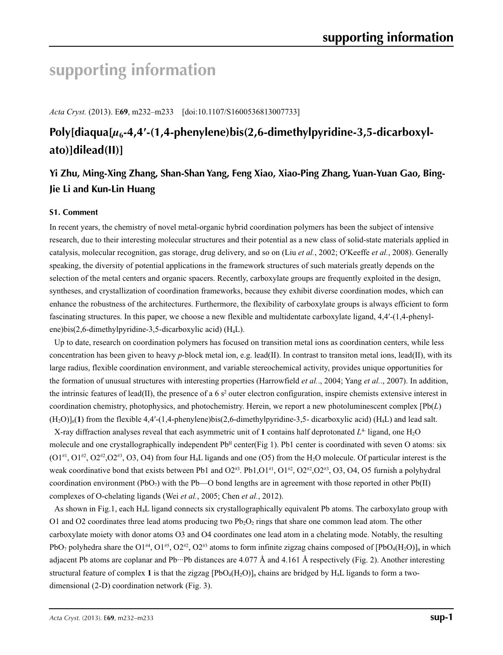# **supporting information**

*Acta Cryst.* (2013). E**69**, m232–m233 [doi:10.1107/S1600536813007733]

# **Poly[diaqua[***µ***6-4,4′-(1,4-phenylene)bis(2,6-dimethylpyridine-3,5-dicarboxylato)]dilead(II)]**

# **Yi Zhu, Ming-Xing Zhang, Shan-Shan Yang, Feng Xiao, Xiao-Ping Zhang, Yuan-Yuan Gao, Bing-Jie Li and Kun-Lin Huang**

#### **S1. Comment**

In recent years, the chemistry of novel metal-organic hybrid coordination polymers has been the subject of intensive research, due to their interesting molecular structures and their potential as a new class of solid-state materials applied in catalysis, molecular recognition, gas storage, drug delivery, and so on (Liu *et al.*, 2002; O′Keeffe *et al.*, 2008). Generally speaking, the diversity of potential applications in the framework structures of such materials greatly depends on the selection of the metal centers and organic spacers. Recently, carboxylate groups are frequently exploited in the design, syntheses, and crystallization of coordination frameworks, because they exhibit diverse coordination modes, which can enhance the robustness of the architectures. Furthermore, the flexibility of carboxylate groups is always efficient to form fascinating structures. In this paper, we choose a new flexible and multidentate carboxylate ligand, 4,4′-(1,4-phenylene)bis(2,6-dimethylpyridine-3,5-dicarboxylic acid) (H4L).

Up to date, research on coordination polymers has focused on transition metal ions as coordination centers, while less concentration has been given to heavy *p*-block metal ion, e.g. lead(II). In contrast to transiton metal ions, lead(II), with its large radius, flexible coordination environment, and variable stereochemical activity, provides unique opportunities for the formation of unusual structures with interesting properties (Harrowfield *et al.*., 2004; Yang *et al.*., 2007). In addition, the intrinsic features of lead(II), the presence of a 6  $s^2$  outer electron configuration, inspire chemists extensive interest in coordination chemistry, photophysics, and photochemistry. Herein, we report a new photoluminescent complex [Pb(*L*) (H2O)]n(**1**) from the flexible 4,4′-(1,4-phenylene)bis(2,6-dimethylpyridine-3,5- dicarboxylic acid) (H4L) and lead salt.

X-ray diffraction analyses reveal that each asymmetric unit of 1 contains half deprotonated  $L<sup>4</sup>$  ligand, one H<sub>2</sub>O molecule and one crystallographically independent  $Pb<sup>\Pi</sup>$  center(Fig 1). Pb1 center is coordinated with seven O atoms: six  $(O1<sup>\#1</sup>, O1<sup>\#2</sup>, O2<sup>\#2</sup>, O2<sup>\#3</sup>, O3, O4)$  from four H<sub>4</sub>L ligands and one (O5) from the H<sub>2</sub>O molecule. Of particular interest is the weak coordinative bond that exists between Pb1 and  $O2^{43}$ . Pb1,O1 $^{41}$ , O1 $^{42}$ , O2 $^{42}$ ,O2 $^{43}$ ,O3,O4,O5 furnish a polyhydral coordination environment (PbO<sub>7</sub>) with the Pb—O bond lengths are in agreement with those reported in other Pb(II) complexes of O-chelating ligands (Wei *et al.*, 2005; Chen *et al.*, 2012).

As shown in Fig.1, each H4L ligand connects six crystallographically equivalent Pb atoms. The carboxylato group with O1 and O2 coordinates three lead atoms producing two  $Pb_2O_2$  rings that share one common lead atom. The other carboxylate moiety with donor atoms O3 and O4 coordinates one lead atom in a chelating mode. Notably, the resulting PbO<sub>7</sub> polyhedra share the O1<sup>#4</sup>, O1<sup>#5</sup>, O2<sup>#2</sup>, O2<sup>#3</sup> atoms to form infinite zigzag chains composed of [PbO<sub>4</sub>(H<sub>2</sub>O)]<sub>n</sub> in which adjacent Pb atoms are coplanar and Pb $\cdot\cdot$ Pb distances are 4.077 Å and 4.161 Å respectively (Fig. 2). Another interesting structural feature of complex 1 is that the zigzag  $[PbO_4(H_2O)]_n$  chains are bridged by H<sub>4</sub>L ligands to form a twodimensional (2-D) coordination network (Fig. 3).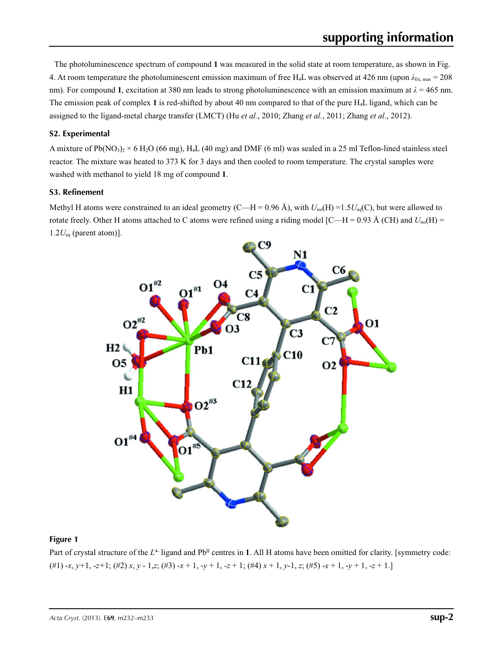The photoluminescence spectrum of compound **1** was measured in the solid state at room temperature, as shown in Fig. 4. At room temperature the photoluminescent emission maximum of free H<sub>4</sub>L was observed at 426 nm (upon  $\lambda_{\text{Ex, max}} = 208$ ) nm). For compound **1**, excitation at 380 nm leads to strong photoluminescence with an emission maximum at *λ* = 465 nm. The emission peak of complex **1** is red-shifted by about 40 nm compared to that of the pure H4L ligand, which can be assigned to the ligand-metal charge transfer (LMCT) (Hu *et al.*, 2010; Zhang *et al.*, 2011; Zhang *et al.*, 2012).

#### **S2. Experimental**

A mixture of Pb(NO<sub>3</sub>)<sub>2</sub> × 6 H<sub>2</sub>O (66 mg), H<sub>4</sub>L (40 mg) and DMF (6 ml) was sealed in a 25 ml Teflon-lined stainless steel reactor. The mixture was heated to 373 K for 3 days and then cooled to room temperature. The crystal samples were washed with methanol to yield 18 mg of compound **1**.

#### **S3. Refinement**

Methyl H atoms were constrained to an ideal geometry (C—H = 0.96 Å), with  $U_{iso}(H) = 1.5U_{eq}(C)$ , but were allowed to rotate freely. Other H atoms attached to C atoms were refined using a riding model [C—H = 0.93 Å (CH) and  $U_{iso}(H)$  =  $1.2U_{eq}$  (parent atom)].



#### **Figure 1**

Part of crystal structure of the  $L^4$  ligand and Pb<sup>II</sup> centres in 1. All H atoms have been omitted for clarity. [symmetry code: (#1) -*x*, *y+*1, -*z+*1; (#2) *x*, *y* - 1,*z*; (#3) -*x* + 1, -*y* + 1, -*z* + 1; (#4) *x* + 1, *y*-1, *z*; (#5) -*x* + 1, -*y* + 1, -*z* + 1.]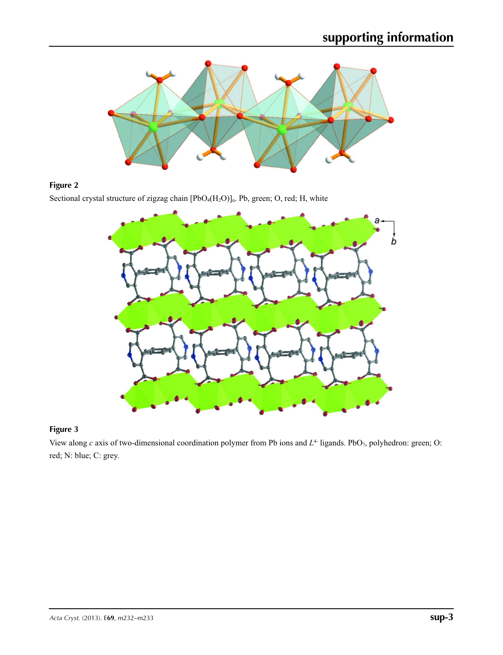

## **Figure 2**

Sectional crystal structure of zigzag chain [PbO<sub>4</sub>(H<sub>2</sub>O)]<sub>n</sub>. Pb, green; O, red; H, white



## **Figure 3**

View along *c* axis of two-dimensional coordination polymer from Pb ions and  $L^4$  ligands. PbO<sub>7</sub>, polyhedron: green; O: red; N: blue; C: grey.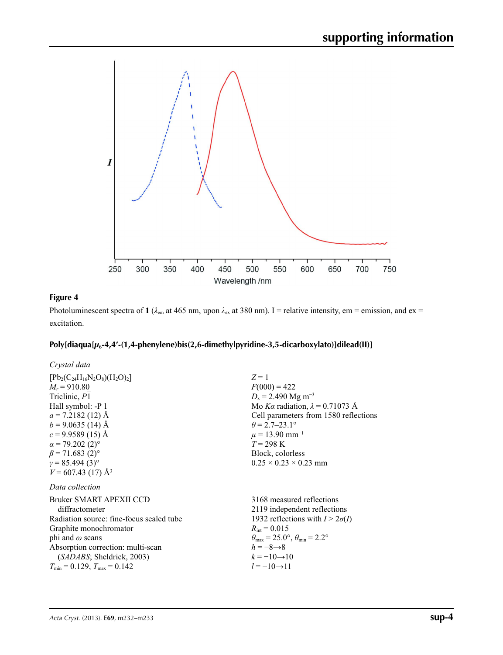

### **Figure 4**

Photoluminescent spectra of 1 ( $\lambda_{em}$  at 465 nm, upon  $\lambda_{ex}$  at 380 nm). I = relative intensity, em = emission, and ex = excitation.

## **Poly[diaqua[***µ***6-4,4′-(1,4-phenylene)bis(2,6-dimethylpyridine-3,5-dicarboxylato)]dilead(II)]**

| Crystal data                                                                                                                                                                                                                                                                                      |                                                                                                                                                                                                                                                                                                   |
|---------------------------------------------------------------------------------------------------------------------------------------------------------------------------------------------------------------------------------------------------------------------------------------------------|---------------------------------------------------------------------------------------------------------------------------------------------------------------------------------------------------------------------------------------------------------------------------------------------------|
| $[Pb_2(C_{24}H_{16}N_2O_8)(H_2O)_2]$<br>$M_r = 910.80$<br>Triclinic, P1<br>Hall symbol: -P 1<br>$a = 7.2182(12)$ Å<br>$b = 9.0635(14)$ Å<br>$c = 9.9589(15)$ Å<br>$\alpha$ = 79.202 (2) <sup>o</sup><br>$\beta$ = 71.683 (2) <sup>o</sup><br>$y = 85.494(3)$ °<br>$V = 607.43(17)$ Å <sup>3</sup> | $Z=1$<br>$F(000) = 422$<br>$D_x = 2.490$ Mg m <sup>-3</sup><br>Mo Ka radiation, $\lambda = 0.71073$ Å<br>Cell parameters from 1580 reflections<br>$\theta = 2.7 - 23.1^{\circ}$<br>$\mu = 13.90$ mm <sup>-1</sup><br>$T = 298 \text{ K}$<br>Block, colorless<br>$0.25 \times 0.23 \times 0.23$ mm |
| Data collection<br>Bruker SMART APEXII CCD<br>diffractometer<br>Radiation source: fine-focus sealed tube<br>Graphite monochromator<br>phi and $\omega$ scans<br>Absorption correction: multi-scan<br>( <i>SADABS</i> ; Sheldrick, 2003)                                                           | 3168 measured reflections<br>2119 independent reflections<br>1932 reflections with $I > 2\sigma(I)$<br>$R_{\text{int}} = 0.015$<br>$\theta_{\text{max}} = 25.0^{\circ}, \theta_{\text{min}} = 2.2^{\circ}$<br>$h = -8 \rightarrow 8$<br>$k = -10 \rightarrow 10$                                  |
| $T_{\min} = 0.129$ , $T_{\max} = 0.142$                                                                                                                                                                                                                                                           | $l = -10 \rightarrow 11$                                                                                                                                                                                                                                                                          |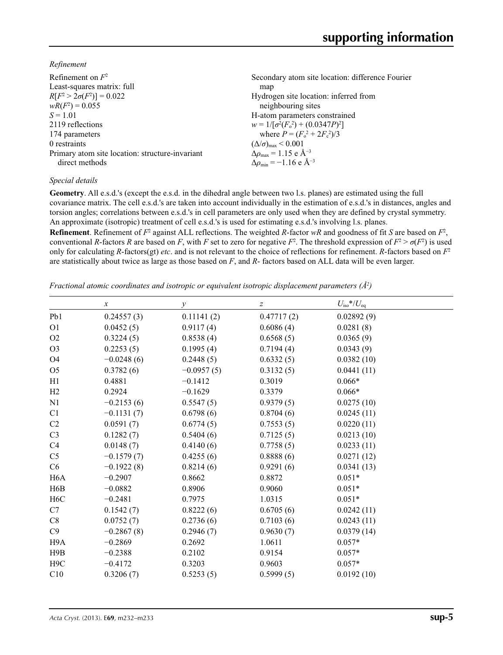*Refinement*

| Refinement on $F^2$                             | Secondary atom site location: difference Fourier             |
|-------------------------------------------------|--------------------------------------------------------------|
| Least-squares matrix: full                      | map                                                          |
| $R[F^2 > 2\sigma(F^2)] = 0.022$                 | Hydrogen site location: inferred from                        |
| $wR(F^2) = 0.055$                               | neighbouring sites                                           |
| $S = 1.01$                                      | H-atom parameters constrained                                |
| 2119 reflections                                | $w = 1/[\sigma^2(F_0^2) + (0.0347P)^2]$                      |
| 174 parameters                                  | where $P = (F_o^2 + 2F_c^2)/3$                               |
| 0 restraints                                    | $(\Delta/\sigma)_{\text{max}}$ < 0.001                       |
| Primary atom site location: structure-invariant | $\Delta \rho_{\text{max}} = 1.15 \text{ e } \text{\AA}^{-3}$ |
| direct methods                                  | $\Delta \rho_{\rm min} = -1.16$ e Å <sup>-3</sup>            |

#### *Special details*

**Geometry**. All e.s.d.'s (except the e.s.d. in the dihedral angle between two l.s. planes) are estimated using the full covariance matrix. The cell e.s.d.'s are taken into account individually in the estimation of e.s.d.'s in distances, angles and torsion angles; correlations between e.s.d.'s in cell parameters are only used when they are defined by crystal symmetry. An approximate (isotropic) treatment of cell e.s.d.'s is used for estimating e.s.d.'s involving l.s. planes.

**Refinement**. Refinement of  $F^2$  against ALL reflections. The weighted *R*-factor  $wR$  and goodness of fit *S* are based on  $F^2$ , conventional *R*-factors *R* are based on *F*, with *F* set to zero for negative  $F^2$ . The threshold expression of  $F^2 > \sigma(F^2)$  is used only for calculating *R*-factors(gt) *etc*. and is not relevant to the choice of reflections for refinement. *R*-factors based on *F*<sup>2</sup> are statistically about twice as large as those based on *F*, and *R*- factors based on ALL data will be even larger.

*Fractional atomic coordinates and isotropic or equivalent isotropic displacement parameters (Å<sup>2</sup>)* 

|                  | $\boldsymbol{x}$ | у            | z          | $U_{\rm iso}$ */ $U_{\rm eq}$ |
|------------------|------------------|--------------|------------|-------------------------------|
| Pb1              | 0.24557(3)       | 0.11141(2)   | 0.47717(2) | 0.02892(9)                    |
| O <sub>1</sub>   | 0.0452(5)        | 0.9117(4)    | 0.6086(4)  | 0.0281(8)                     |
| O <sub>2</sub>   | 0.3224(5)        | 0.8538(4)    | 0.6568(5)  | 0.0365(9)                     |
| O <sub>3</sub>   | 0.2253(5)        | 0.1995(4)    | 0.7194(4)  | 0.0343(9)                     |
| <b>O4</b>        | $-0.0248(6)$     | 0.2448(5)    | 0.6332(5)  | 0.0382(10)                    |
| O <sub>5</sub>   | 0.3782(6)        | $-0.0957(5)$ | 0.3132(5)  | 0.0441(11)                    |
| H1               | 0.4881           | $-0.1412$    | 0.3019     | $0.066*$                      |
| H2               | 0.2924           | $-0.1629$    | 0.3379     | $0.066*$                      |
| N1               | $-0.2153(6)$     | 0.5547(5)    | 0.9379(5)  | 0.0275(10)                    |
| C1               | $-0.1131(7)$     | 0.6798(6)    | 0.8704(6)  | 0.0245(11)                    |
| C <sub>2</sub>   | 0.0591(7)        | 0.6774(5)    | 0.7553(5)  | 0.0220(11)                    |
| C <sub>3</sub>   | 0.1282(7)        | 0.5404(6)    | 0.7125(5)  | 0.0213(10)                    |
| C <sub>4</sub>   | 0.0148(7)        | 0.4140(6)    | 0.7758(5)  | 0.0233(11)                    |
| C <sub>5</sub>   | $-0.1579(7)$     | 0.4255(6)    | 0.8888(6)  | 0.0271(12)                    |
| C <sub>6</sub>   | $-0.1922(8)$     | 0.8214(6)    | 0.9291(6)  | 0.0341(13)                    |
| H <sub>6</sub> A | $-0.2907$        | 0.8662       | 0.8872     | $0.051*$                      |
| H <sub>6</sub> B | $-0.0882$        | 0.8906       | 0.9060     | $0.051*$                      |
| H <sub>6</sub> C | $-0.2481$        | 0.7975       | 1.0315     | $0.051*$                      |
| C7               | 0.1542(7)        | 0.8222(6)    | 0.6705(6)  | 0.0242(11)                    |
| C8               | 0.0752(7)        | 0.2736(6)    | 0.7103(6)  | 0.0243(11)                    |
| C9               | $-0.2867(8)$     | 0.2946(7)    | 0.9630(7)  | 0.0379(14)                    |
| H <sub>9</sub> A | $-0.2869$        | 0.2692       | 1.0611     | $0.057*$                      |
| H9B              | $-0.2388$        | 0.2102       | 0.9154     | $0.057*$                      |
| H <sub>9</sub> C | $-0.4172$        | 0.3203       | 0.9603     | $0.057*$                      |
| C10              | 0.3206(7)        | 0.5253(5)    | 0.5999(5)  | 0.0192(10)                    |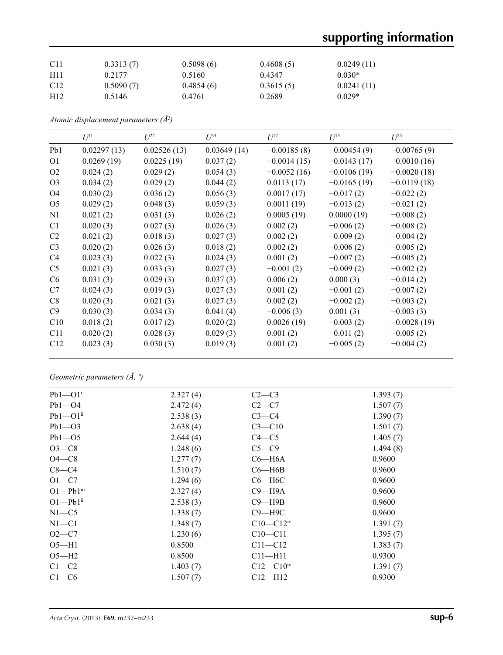# **supporting information**

| C <sub>11</sub> | 0.3313(7) | 0.5098(6) | 0.4608(5) | 0.0249(11) |  |
|-----------------|-----------|-----------|-----------|------------|--|
| H11             | 0.2177    | 0.5160    | 0.4347    | $0.030*$   |  |
| C <sub>12</sub> | 0.5090(7) | 0.4854(6) | 0.3615(5) | 0.0241(11) |  |
| H12             | 0.5146    | 0.4761    | 0.2689    | $0.029*$   |  |

*Atomic displacement parameters (Å2 )*

|                | $U^{11}$    | $U^{22}$    | $U^{33}$    | $U^{12}$      | $U^{13}$      | $U^{23}$      |
|----------------|-------------|-------------|-------------|---------------|---------------|---------------|
| Pb1            | 0.02297(13) | 0.02526(13) | 0.03649(14) | $-0.00185(8)$ | $-0.00454(9)$ | $-0.00765(9)$ |
| O <sub>1</sub> | 0.0269(19)  | 0.0225(19)  | 0.037(2)    | $-0.0014(15)$ | $-0.0143(17)$ | $-0.0010(16)$ |
| O <sub>2</sub> | 0.024(2)    | 0.029(2)    | 0.054(3)    | $-0.0052(16)$ | $-0.0106(19)$ | $-0.0020(18)$ |
| O <sub>3</sub> | 0.034(2)    | 0.029(2)    | 0.044(2)    | 0.0113(17)    | $-0.0165(19)$ | $-0.0119(18)$ |
| O <sub>4</sub> | 0.030(2)    | 0.036(2)    | 0.056(3)    | 0.0017(17)    | $-0.017(2)$   | $-0.022(2)$   |
| O <sub>5</sub> | 0.029(2)    | 0.048(3)    | 0.059(3)    | 0.0011(19)    | $-0.013(2)$   | $-0.021(2)$   |
| N1             | 0.021(2)    | 0.031(3)    | 0.026(2)    | 0.0005(19)    | 0.0000(19)    | $-0.008(2)$   |
| C <sub>1</sub> | 0.020(3)    | 0.027(3)    | 0.026(3)    | 0.002(2)      | $-0.006(2)$   | $-0.008(2)$   |
| C2             | 0.021(2)    | 0.018(3)    | 0.027(3)    | 0.002(2)      | $-0.009(2)$   | $-0.004(2)$   |
| C <sub>3</sub> | 0.020(2)    | 0.026(3)    | 0.018(2)    | 0.002(2)      | $-0.006(2)$   | $-0.005(2)$   |
| C <sub>4</sub> | 0.023(3)    | 0.022(3)    | 0.024(3)    | 0.001(2)      | $-0.007(2)$   | $-0.005(2)$   |
| C <sub>5</sub> | 0.021(3)    | 0.033(3)    | 0.027(3)    | $-0.001(2)$   | $-0.009(2)$   | $-0.002(2)$   |
| C <sub>6</sub> | 0.031(3)    | 0.029(3)    | 0.037(3)    | 0.006(2)      | 0.000(3)      | $-0.014(2)$   |
| C7             | 0.024(3)    | 0.019(3)    | 0.027(3)    | 0.001(2)      | $-0.001(2)$   | $-0.007(2)$   |
| C8             | 0.020(3)    | 0.021(3)    | 0.027(3)    | 0.002(2)      | $-0.002(2)$   | $-0.003(2)$   |
| C9             | 0.030(3)    | 0.034(3)    | 0.041(4)    | $-0.006(3)$   | 0.001(3)      | $-0.003(3)$   |
| C10            | 0.018(2)    | 0.017(2)    | 0.020(2)    | 0.0026(19)    | $-0.003(2)$   | $-0.0028(19)$ |
| C11            | 0.020(2)    | 0.028(3)    | 0.029(3)    | 0.001(2)      | $-0.011(2)$   | $-0.005(2)$   |
| C12            | 0.023(3)    | 0.030(3)    | 0.019(3)    | 0.001(2)      | $-0.005(2)$   | $-0.004(2)$   |

## *Geometric parameters (Å, º)*

| $Pb1 - O1$ <sup>i</sup>  | 2.327(4) | $C2-C3$                 | 1.393(7) |
|--------------------------|----------|-------------------------|----------|
| $Pb1 - O4$               | 2.472(4) | $C2-C7$                 | 1.507(7) |
| $Pb1 - Q1$ <sup>ii</sup> | 2.538(3) | $C3-C4$                 | 1.390(7) |
| $Pb1 - O3$               | 2.638(4) | $C3 - C10$              | 1.501(7) |
| $Pb1 - 05$               | 2.644(4) | $C4 - C5$               | 1.405(7) |
| $O3-C8$                  | 1.248(6) | $C5-C9$                 | 1.494(8) |
| $O4-C8$                  | 1.277(7) | $C6 - H6A$              | 0.9600   |
| $C8-C4$                  | 1.510(7) | $C6 - H6B$              | 0.9600   |
| $O1 - C7$                | 1.294(6) | $C6 - H6C$              | 0.9600   |
| $O1-Pb1$ <sup>iii</sup>  | 2.327(4) | $C9 - H9A$              | 0.9600   |
| $O1-Pb1$ <sup>ii</sup>   | 2.538(3) | $C9 - H9B$              | 0.9600   |
| $N1 - C5$                | 1.338(7) | $C9 - H9C$              | 0.9600   |
| $N1 - C1$                | 1.348(7) | $C10-C12$ <sup>iv</sup> | 1.391(7) |
| $O2-C7$                  | 1.230(6) | $C10 - C11$             | 1.395(7) |
| $O5 - H1$                | 0.8500   | $C11 - C12$             | 1.383(7) |
| $O5-H2$                  | 0.8500   | $C11 - H11$             | 0.9300   |
| $C1-C2$                  | 1.403(7) | $C12 - C10$ iv          | 1.391(7) |
| $C1-C6$                  | 1.507(7) | $C12-H12$               | 0.9300   |